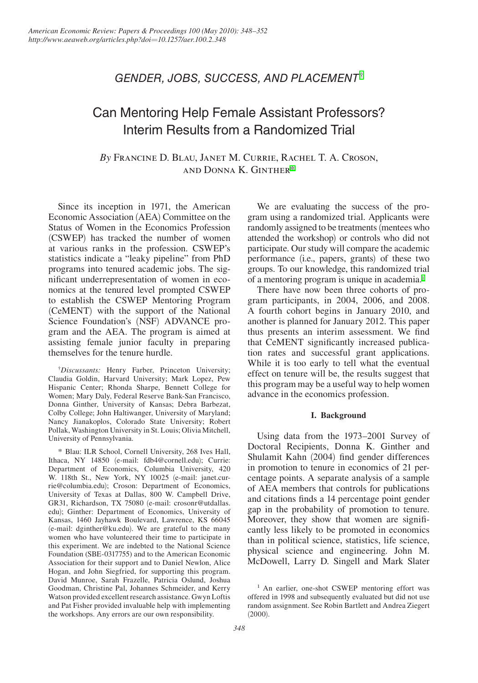## *Gender, Jobs, Success, and placement*†

# Can Mentoring Help Female Assistant Professors? Interim Results from a Randomized Trial

*By* Francine D. Blau, Janet M. Currie, Rachel T. A. Croson, and Donna K. Ginther\*

Since its inception in 1971, the American Economic Association (AEA) Committee on the Status of Women in the Economics Profession (CSWEP) has tracked the number of women at various ranks in the profession. CSWEP's statistics indicate a "leaky pipeline" from PhD programs into tenured academic jobs. The significant underrepresentation of women in economics at the tenured level prompted CSWEP to establish the CSWEP Mentoring Program (CeMENT) with the support of the National Science Foundation's (NSF) ADVANCE program and the AEA. The program is aimed at assisting female junior faculty in preparing themselves for the tenure hurdle.

† *Discussants:* Henry Farber, Princeton University; Claudia Goldin, Harvard University; Mark Lopez, Pew Hispanic Center; Rhonda Sharpe, Bennett College for Women; Mary Daly, Federal Reserve Bank-San Francisco, Donna Ginther, University of Kansas; Debra Barbezat, Colby College; John Haltiwanger, University of Maryland; Nancy Jianakoplos, Colorado State University; Robert Pollak, Washington University in St. Louis; Olivia Mitchell, University of Pennsylvania.

\* Blau: ILR School, Cornell University, 268 Ives Hall, Ithaca, NY 14850 (e-mail: fdb4@cornell.edu); Currie: Department of Economics, Columbia University, 420 W. 118th St., New York, NY 10025 (e-mail: janet.currie@columbia.edu); Croson: Department of Economics, University of Texas at Dallas, 800 W. Campbell Drive, GR31, Richardson, TX 75080 (e-mail: crosonr@utdallas. edu); Ginther: Department of Economics, University of Kansas, 1460 Jayhawk Boulevard, Lawrence, KS 66045 (e-mail: dginther@ku.edu). We are grateful to the many women who have volunteered their time to participate in this experiment. We are indebted to the National Science Foundation (SBE-0317755) and to the American Economic Association for their support and to Daniel Newlon, Alice Hogan, and John Siegfried, for supporting this program. David Munroe, Sarah Frazelle, Patricia Oslund, Joshua Goodman, Christine Pal, Johannes Schmeider, and Kerry Watson provided excellent research assistance. Gwyn Loftis and Pat Fisher provided invaluable help with implementing the workshops. Any errors are our own responsibility.

We are evaluating the success of the program using a randomized trial. Applicants were randomly assigned to be treatments (mentees who attended the workshop) or controls who did not participate. Our study will compare the academic performance (i.e., papers, grants) of these two groups. To our knowledge, this randomized trial of a mentoring program is unique in academia.1

There have now been three cohorts of program participants, in 2004, 2006, and 2008. A fourth cohort begins in January 2010, and another is planned for January 2012. This paper thus presents an interim assessment. We find that CeMENT significantly increased publication rates and successful grant applications. While it is too early to tell what the eventual effect on tenure will be, the results suggest that this program may be a useful way to help women advance in the economics profession.

### **I. Background**

Using data from the 1973–2001 Survey of Doctoral Recipients, Donna K. Ginther and Shulamit Kahn (2004) find gender differences in promotion to tenure in economics of 21 percentage points. A separate analysis of a sample of AEA members that controls for publications and citations finds a 14 percentage point gender gap in the probability of promotion to tenure. Moreover, they show that women are significantly less likely to be promoted in economics than in political science, statistics, life science, physical science and engineering. John M. McDowell, Larry D. Singell and Mark Slater

<sup>&</sup>lt;sup>1</sup> An earlier, one-shot CSWEP mentoring effort was offered in 1998 and subsequently evaluated but did not use random assignment. See Robin Bartlett and Andrea Ziegert  $(2000).$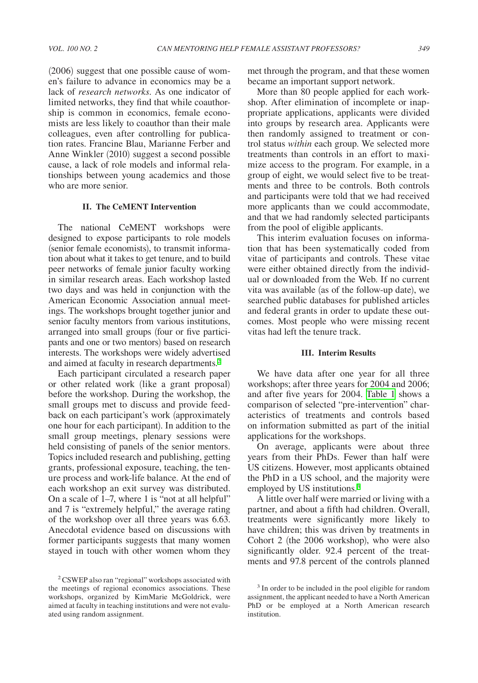(2006) suggest that one possible cause of women's failure to advance in economics may be a lack of *research networks*. As one indicator of limited networks, they find that while coauthorship is common in economics, female economists are less likely to coauthor than their male colleagues, even after controlling for publication rates. Francine Blau, Marianne Ferber and Anne Winkler (2010) suggest a second possible cause, a lack of role models and informal relationships between young academics and those who are more senior.

#### **II. The CeMENT Intervention**

The national CeMENT workshops were designed to expose participants to role models (senior female economists), to transmit information about what it takes to get tenure, and to build peer networks of female junior faculty working in similar research areas. Each workshop lasted two days and was held in conjunction with the American Economic Association annual meetings. The workshops brought together junior and senior faculty mentors from various institutions, arranged into small groups (four or five participants and one or two mentors) based on research interests. The workshops were widely advertised and aimed at faculty in research departments.2

Each participant circulated a research paper or other related work (like a grant proposal) before the workshop. During the workshop, the small groups met to discuss and provide feedback on each participant's work (approximately one hour for each participant). In addition to the small group meetings, plenary sessions were held consisting of panels of the senior mentors. Topics included research and publishing, getting grants, professional exposure, teaching, the tenure process and work-life balance. At the end of each workshop an exit survey was distributed. On a scale of 1–7, where 1 is "not at all helpful" and 7 is "extremely helpful," the average rating of the workshop over all three years was 6.63. Anecdotal evidence based on discussions with former participants suggests that many women stayed in touch with other women whom they

met through the program, and that these women became an important support network.

More than 80 people applied for each workshop. After elimination of incomplete or inappropriate applications, applicants were divided into groups by research area. Applicants were then randomly assigned to treatment or control status *within* each group. We selected more treatments than controls in an effort to maximize access to the program. For example, in a group of eight, we would select five to be treatments and three to be controls. Both controls and participants were told that we had received more applicants than we could accommodate, and that we had randomly selected participants from the pool of eligible applicants.

This interim evaluation focuses on information that has been systematically coded from vitae of participants and controls. These vitae were either obtained directly from the individual or downloaded from the Web. If no current vita was available (as of the follow-up date), we searched public databases for published articles and federal grants in order to update these outcomes. Most people who were missing recent vitas had left the tenure track.

#### **III. Interim Results**

We have data after one year for all three workshops; after three years for 2004 and 2006; and after five years for 2004. [Table 1](#page-2-0) shows a comparison of selected "pre-intervention" characteristics of treatments and controls based on information submitted as part of the initial applications for the workshops.

On average, applicants were about three years from their PhDs. Fewer than half were US citizens. However, most applicants obtained the PhD in a US school, and the majority were employed by US institutions.<sup>3</sup>

A little over half were married or living with a partner, and about a fifth had children. Overall, treatments were significantly more likely to have children; this was driven by treatments in Cohort 2 (the 2006 workshop), who were also significantly older. 92.4 percent of the treatments and 97.8 percent of the controls planned

<sup>2</sup> CSWEP also ran "regional" workshops associated with the meetings of regional economics associations. These workshops, organized by KimMarie McGoldrick, were aimed at faculty in teaching institutions and were not evaluated using random assignment.

<sup>3</sup> In order to be included in the pool eligible for random assignment, the applicant needed to have a North American PhD or be employed at a North American research institution.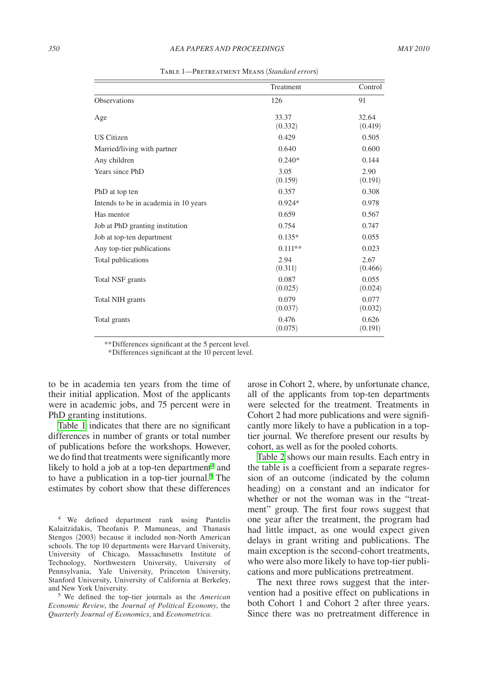<span id="page-2-0"></span>

|                                       | Treatment        | Control          |
|---------------------------------------|------------------|------------------|
| <b>Observations</b>                   | 126              | 91               |
| Age                                   | 33.37<br>(0.332) | 32.64<br>(0.419) |
| <b>US</b> Citizen                     | 0.429            | 0.505            |
| Married/living with partner           | 0.640            | 0.600            |
| Any children                          | $0.240*$         | 0.144            |
| Years since PhD                       | 3.05<br>(0.159)  | 2.90<br>(0.191)  |
| PhD at top ten                        | 0.357            | 0.308            |
| Intends to be in academia in 10 years | $0.924*$         | 0.978            |
| Has mentor                            | 0.659            | 0.567            |
| Job at PhD granting institution       | 0.754            | 0.747            |
| Job at top-ten department             | $0.135*$         | 0.055            |
| Any top-tier publications             | $0.111**$        | 0.023            |
| Total publications                    | 2.94<br>(0.311)  | 2.67<br>(0.466)  |
| Total NSF grants                      | 0.087<br>(0.025) | 0.055<br>(0.024) |
| Total NIH grants                      | 0.079<br>(0.037) | 0.077<br>(0.032) |
| Total grants                          | 0.476<br>(0.075) | 0.626<br>(0.191) |

Table 1—Pretreatment Means (*Standard error*s)

*\*\**Differences significant at the 5 percent level.

*\**Differences significant at the 10 percent level.

to be in academia ten years from the time of their initial application. Most of the applicants were in academic jobs, and 75 percent were in PhD granting institutions.

Table 1 indicates that there are no significant differences in number of grants or total number of publications before the workshops. However, we do find that treatments were significantly more likely to hold a job at a top-ten department $4$  and to have a publication in a top-tier journal.<sup>5</sup> The estimates by cohort show that these differences

4 We defined department rank using Pantelis Kalaitzidakis, Theofanis P. Mamuneas, and Thanasis Stengos (2003) because it included non-North American schools. The top 10 departments were Harvard University, University of Chicago, Massachusetts Institute of Technology, Northwestern University, University of Pennsylvania, Yale University, Princeton University, Stanford University, University of California at Berkeley,

and New York University. 5 We defined the top-tier journals as the *American Economic Review*, the *Journal of Political Economy*, the *Quarterly Journal of Economics*, and *Econometrica*.

arose in Cohort 2, where, by unfortunate chance, all of the applicants from top-ten departments were selected for the treatment. Treatments in Cohort 2 had more publications and were significantly more likely to have a publication in a toptier journal. We therefore present our results by cohort, as well as for the pooled cohorts.

[Table 2](#page-3-0) shows our main results. Each entry in the table is a coefficient from a separate regression of an outcome (indicated by the column heading) on a constant and an indicator for whether or not the woman was in the "treatment" group. The first four rows suggest that one year after the treatment, the program had had little impact, as one would expect given delays in grant writing and publications. The main exception is the second-cohort treatments, who were also more likely to have top-tier publications and more publications pretreatment.

The next three rows suggest that the intervention had a positive effect on publications in both Cohort 1 and Cohort 2 after three years. Since there was no pretreatment difference in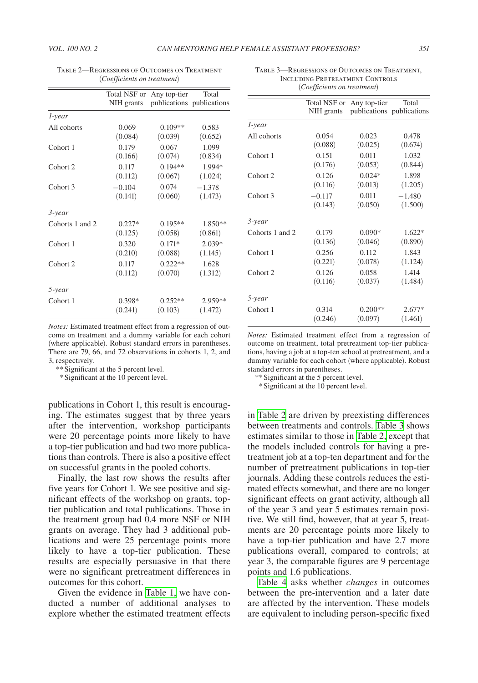|                     | Total NSF or<br>NIH grants | Any top-tier | Total<br>publications publications |
|---------------------|----------------------------|--------------|------------------------------------|
| 1-year              |                            |              |                                    |
| All cohorts         | 0.069                      | $0.109**$    | 0.583                              |
|                     | (0.084)                    | (0.039)      | (0.652)                            |
| Cohort <sub>1</sub> | 0.179                      | 0.067        | 1.099                              |
|                     | (0.166)                    | (0.074)      | (0.834)                            |
| Cohort <sub>2</sub> | 0.117                      | $0.194**$    | 1.994*                             |
|                     | (0.112)                    | (0.067)      | (1.024)                            |
| Cohort <sub>3</sub> | $-0.104$                   | 0.074        | $-1.378$                           |
|                     | (0.141)                    | (0.060)      | (1.473)                            |
| 3-year              |                            |              |                                    |
| Cohorts 1 and 2     | $0.227*$                   | $0.195**$    | $1.850**$                          |
|                     | (0.125)                    | (0.058)      | (0.861)                            |
| Cohort <sub>1</sub> | 0.320                      | $0.171*$     | $2.039*$                           |
|                     | (0.210)                    | (0.088)      | (1.145)                            |
| Cohort <sub>2</sub> | 0.117                      | $0.222**$    | 1.628                              |
|                     | (0.112)                    | (0.070)      | (1.312)                            |
| 5-year              |                            |              |                                    |
| Cohort <sub>1</sub> | $0.398*$                   | $0.252**$    | 2.959**                            |
|                     | (0.241)                    | (0.103)      | (1.472)                            |

<span id="page-3-0"></span>Table 2—Regressions of Outcomes on Treatment (*Coefficients on treatment*)

*Notes:* Estimated treatment effect from a regression of outcome on treatment and a dummy variable for each cohort (where applicable). Robust standard errors in parentheses. There are 79, 66, and 72 observations in cohorts 1, 2, and 3, respectively.

\*\*Significant at the 5 percent level.

\*Significant at the 10 percent level.

publications in Cohort 1, this result is encouraging. The estimates suggest that by three years after the intervention, workshop participants were 20 percentage points more likely to have a top-tier publication and had two more publications than controls. There is also a positive effect on successful grants in the pooled cohorts.

Finally, the last row shows the results after five years for Cohort 1. We see positive and significant effects of the workshop on grants, toptier publication and total publications. Those in the treatment group had 0.4 more NSF or NIH grants on average. They had 3 additional publications and were 25 percentage points more likely to have a top-tier publication. These results are especially persuasive in that there were no significant pretreatment differences in outcomes for this cohort.

Given the evidence in [Table 1,](#page-2-0) we have conducted a number of additional analyses to explore whether the estimated treatment effects

Table 3—Regressions of Outcomes on Treatment, Including Pretreatment Controls (*Coefficients on treatment*)

|                     | Total NSF or<br>NIH grants | Any top-tier | Total<br>publications publications |
|---------------------|----------------------------|--------------|------------------------------------|
| 1-year              |                            |              |                                    |
| All cohorts         | 0.054                      | 0.023        | 0.478                              |
| Cohort 1            | (0.088)                    | (0.025)      | (0.674)                            |
|                     | 0.151                      | 0.011        | 1.032                              |
|                     | (0.176)                    | (0.053)      | (0.844)                            |
| Cohort <sub>2</sub> | 0.126                      | $0.024*$     | 1.898                              |
|                     | (0.116)                    | (0.013)      | (1.205)                            |
| Cohort 3            | $-0.117$                   | 0.011        | $-1.480$                           |
|                     | (0.143)                    | (0.050)      | (1.500)                            |
| 3-year              |                            |              |                                    |
| Cohorts 1 and 2     | 0.179                      | $0.090*$     | $1.622*$                           |
|                     | (0.136)                    | (0.046)      | (0.890)                            |
| Cohort 1            | 0.256                      | 0.112        | 1.843                              |
|                     | (0.221)                    | (0.078)      | (1.124)                            |
| Cohort <sub>2</sub> | 0.126                      | 0.058        | 1.414                              |
|                     | (0.116)                    | (0.037)      | (1.484)                            |
| 5-year              |                            |              |                                    |
| Cohort 1            | 0.314                      | $0.200**$    | $2.677*$                           |
|                     | (0.246)                    | (0.097)      | (1.461)                            |

*Notes:* Estimated treatment effect from a regression of outcome on treatment, total pretreatment top-tier publications, having a job at a top-ten school at pretreatment, and a dummy variable for each cohort (where applicable). Robust standard errors in parentheses.

\*\*Significant at the 5 percent level.

\*Significant at the 10 percent level.

in Table 2 are driven by preexisting differences between treatments and controls. Table 3 shows estimates similar to those in Table 2, except that the models included controls for having a pretreatment job at a top-ten department and for the number of pretreatment publications in top-tier journals. Adding these controls reduces the estimated effects somewhat, and there are no longer significant effects on grant activity, although all of the year 3 and year 5 estimates remain positive. We still find, however, that at year 5, treatments are 20 percentage points more likely to have a top-tier publication and have 2.7 more publications overall, compared to controls; at year 3, the comparable figures are 9 percentage points and 1.6 publications.

[Table 4](#page-4-0) asks whether *changes* in outcomes between the pre-intervention and a later date are affected by the intervention. These models are equivalent to including person-specific fixed